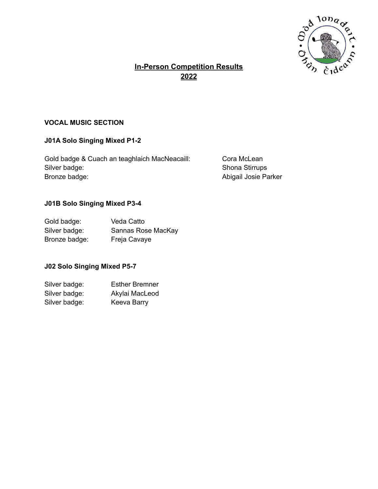

# **In-Person Competition Results 2022**

## **VOCAL MUSIC SECTION**

## **J01A Solo Singing Mixed P1-2**

Gold badge & Cuach an teaghlaich MacNeacaill: Cora McLean Silver badge: Silver badge: Shona Stirrups Bronze badge: **Abigail Josie Parker** Bronze badge:

#### **J01B Solo Singing Mixed P3-4**

| Gold badge:   | Veda Catto         |
|---------------|--------------------|
| Silver badge: | Sannas Rose MacKay |
| Bronze badge: | Freja Cavaye       |

### **J02 Solo Singing Mixed P5-7**

| Silver badge: | <b>Esther Bremner</b> |
|---------------|-----------------------|
| Silver badge: | Akylai MacLeod        |
| Silver badge: | Keeva Barry           |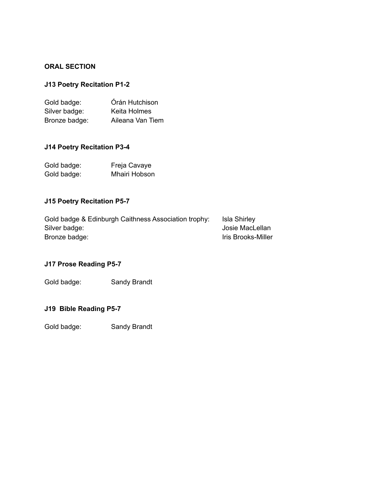### **ORAL SECTION**

## **J13 Poetry Recitation P1-2**

| Gold badge:   | Órán Hutchison   |
|---------------|------------------|
| Silver badge: | Keita Holmes     |
| Bronze badge: | Aileana Van Tiem |

### **J14 Poetry Recitation P3-4**

| Gold badge: | Freja Cavaye  |
|-------------|---------------|
| Gold badge: | Mhairi Hobson |

### **J15 Poetry Recitation P5-7**

| Gold badge & Edinburgh Caithness Association trophy: | Isla Shirley       |
|------------------------------------------------------|--------------------|
| Silver badge:                                        | Josie MacLellan    |
| Bronze badge:                                        | Iris Brooks-Miller |

# **J17 Prose Reading P5-7**

Gold badge: Sandy Brandt

### **J19 Bible Reading P5-7**

Gold badge: Sandy Brandt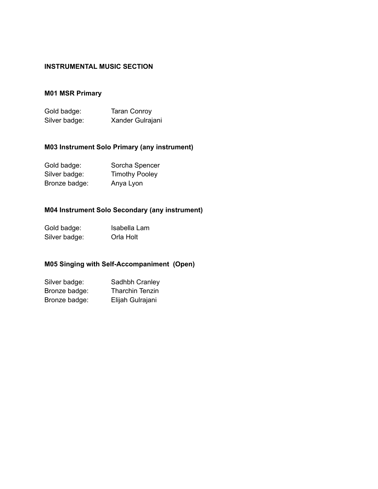### **INSTRUMENTAL MUSIC SECTION**

## **M01 MSR Primary**

| Gold badge:   | <b>Taran Conroy</b> |
|---------------|---------------------|
| Silver badge: | Xander Gulrajani    |

## **M03 Instrument Solo Primary (any instrument)**

| Gold badge:   | Sorcha Spencer        |
|---------------|-----------------------|
| Silver badge: | <b>Timothy Pooley</b> |
| Bronze badge: | Anya Lyon             |

## **M04 Instrument Solo Secondary (any instrument)**

| Gold badge:   | Isabella Lam |
|---------------|--------------|
| Silver badge: | Orla Holt    |

# **M05 Singing with Self-Accompaniment (Open)**

| Silver badge: | Sadhbh Cranley         |
|---------------|------------------------|
| Bronze badge: | <b>Tharchin Tenzin</b> |
| Bronze badge: | Elijah Gulrajani       |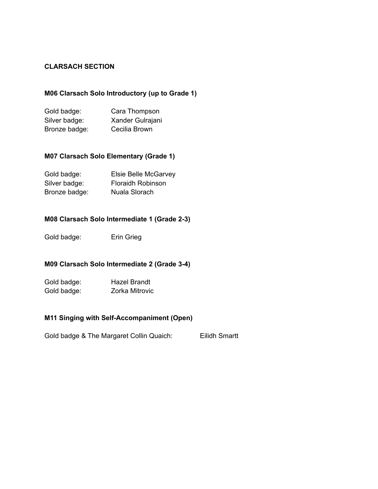#### **CLARSACH SECTION**

### **M06 Clarsach Solo Introductory (up to Grade 1)**

| Gold badge:   | Cara Thompson    |
|---------------|------------------|
| Silver badge: | Xander Gulrajani |
| Bronze badge: | Cecilia Brown    |

#### **M07 Clarsach Solo Elementary (Grade 1)**

| Gold badge:   | Elsie Belle McGarvey     |
|---------------|--------------------------|
| Silver badge: | <b>Floraidh Robinson</b> |
| Bronze badge: | Nuala Slorach            |

### **M08 Clarsach Solo Intermediate 1 (Grade 2-3)**

Gold badge: Erin Grieg

#### **M09 Clarsach Solo Intermediate 2 (Grade 3-4)**

Gold badge: Hazel Brandt Gold badge: Zorka Mitrovic

### **M11 Singing with Self-Accompaniment (Open)**

Gold badge & The Margaret Collin Quaich: Eilidh Smartt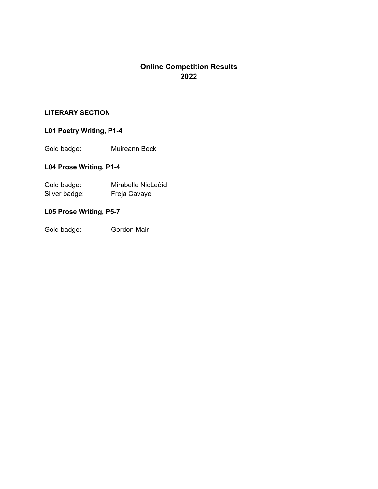# **Online Competition Results 2022**

## **LITERARY SECTION**

# **L01 Poetry Writing, P1-4**

Gold badge: Muireann Beck

### **L04 Prose Writing, P1-4**

| Gold badge:   | Mirabelle NicLeòid |
|---------------|--------------------|
| Silver badge: | Freja Cavaye       |

### **L05 Prose Writing, P5-7**

Gold badge: Gordon Mair